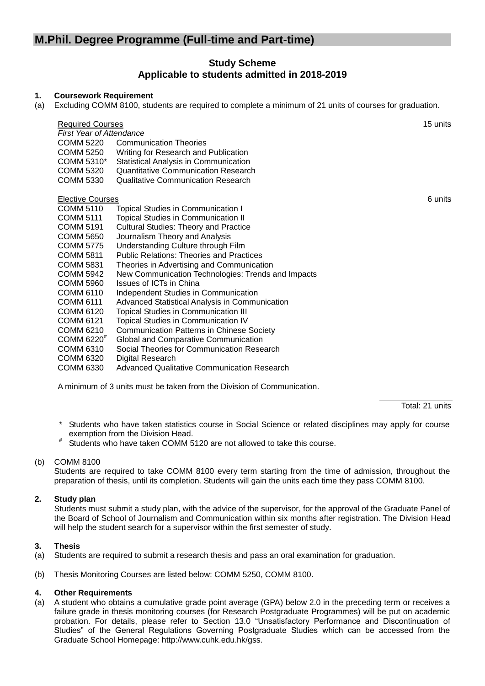# **M.Phil. Degree Programme (Full-time and Part-time)**

## **Study Scheme Applicable to students admitted in 2018-2019**

#### **1. Coursework Requirement**

(a) Excluding COMM 8100, students are required to complete a minimum of 21 units of courses for graduation.

| <b>Required Courses</b><br><b>First Year of Attendance</b> |                                                    |         |  |
|------------------------------------------------------------|----------------------------------------------------|---------|--|
| COMM 5220                                                  | <b>Communication Theories</b>                      |         |  |
| COMM 5250                                                  | Writing for Research and Publication               |         |  |
| COMM 5310*                                                 | Statistical Analysis in Communication              |         |  |
| COMM 5320                                                  | Quantitative Communication Research                |         |  |
| COMM 5330                                                  | Qualitative Communication Research                 |         |  |
| <b>Elective Courses</b>                                    |                                                    | 6 units |  |
| <b>COMM 5110</b>                                           | <b>Topical Studies in Communication I</b>          |         |  |
| <b>COMM 5111</b>                                           | <b>Topical Studies in Communication II</b>         |         |  |
| COMM 5191                                                  | <b>Cultural Studies: Theory and Practice</b>       |         |  |
| COMM 5650                                                  | Journalism Theory and Analysis                     |         |  |
| <b>COMM 5775</b>                                           | Understanding Culture through Film                 |         |  |
| COMM 5811                                                  | <b>Public Relations: Theories and Practices</b>    |         |  |
| COMM 5831                                                  | Theories in Advertising and Communication          |         |  |
| <b>COMM 5942</b>                                           | New Communication Technologies: Trends and Impacts |         |  |
| COMM 5960                                                  | Issues of ICTs in China                            |         |  |
| COMM 6110                                                  | Independent Studies in Communication               |         |  |
| COMM 6111                                                  | Advanced Statistical Analysis in Communication     |         |  |
| COMM 6120                                                  | <b>Topical Studies in Communication III</b>        |         |  |
| COMM 6121                                                  | <b>Topical Studies in Communication IV</b>         |         |  |
| COMM 6210                                                  | <b>Communication Patterns in Chinese Society</b>   |         |  |
| $COMM$ 6220 $π$                                            | Global and Comparative Communication               |         |  |
| COMM 6310                                                  | Social Theories for Communication Research         |         |  |
| COMM 6320                                                  | Digital Research                                   |         |  |
| COMM 6330                                                  | Advanced Qualitative Communication Research        |         |  |
|                                                            |                                                    |         |  |

A minimum of 3 units must be taken from the Division of Communication.

Total: 21 units

- \* Students who have taken statistics course in Social Science or related disciplines may apply for course exemption from the Division Head.
- # Students who have taken COMM 5120 are not allowed to take this course.

## (b) COMM 8100

Students are required to take COMM 8100 every term starting from the time of admission, throughout the preparation of thesis, until its completion. Students will gain the units each time they pass COMM 8100.

## **2. Study plan**

Students must submit a study plan, with the advice of the supervisor, for the approval of the Graduate Panel of the Board of School of Journalism and Communication within six months after registration. The Division Head will help the student search for a supervisor within the first semester of study.

## **3. Thesis**

- (a) Students are required to submit a research thesis and pass an oral examination for graduation.
- (b) Thesis Monitoring Courses are listed below: COMM 5250, COMM 8100.

## **4. Other Requirements**

(a) A student who obtains a cumulative grade point average (GPA) below 2.0 in the preceding term or receives a failure grade in thesis monitoring courses (for Research Postgraduate Programmes) will be put on academic probation. For details, please refer to Section 13.0 "Unsatisfactory Performance and Discontinuation of Studies" of the General Regulations Governing Postgraduate Studies which can be accessed from the Graduate School Homepage: http://www.cuhk.edu.hk/gss.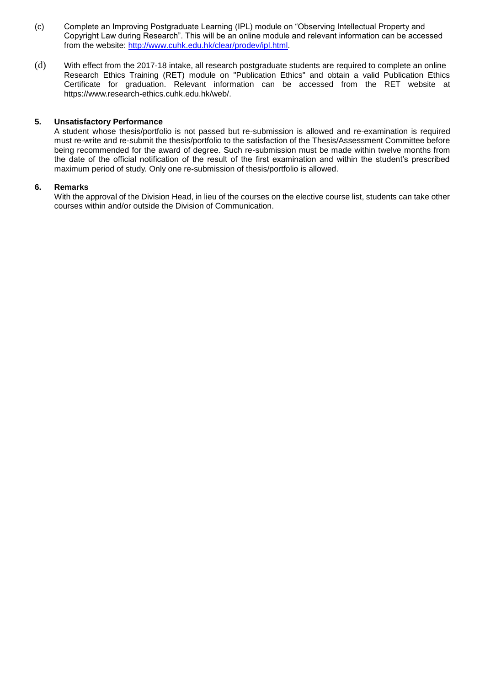- (c) Complete an Improving Postgraduate Learning (IPL) module on "Observing Intellectual Property and Copyright Law during Research". This will be an online module and relevant information can be accessed from the website: [http://www.cuhk.edu.hk/clear/prodev/ipl.html.](http://www.cuhk.edu.hk/clear/prodev/ipl.html)
- (d) With effect from the 2017-18 intake, all research postgraduate students are required to complete an online Research Ethics Training (RET) module on "Publication Ethics" and obtain a valid Publication Ethics Certificate for graduation. Relevant information can be accessed from the RET website at https://www.research-ethics.cuhk.edu.hk/web/.

#### **5. Unsatisfactory Performance**

A student whose thesis/portfolio is not passed but re-submission is allowed and re-examination is required must re-write and re-submit the thesis/portfolio to the satisfaction of the Thesis/Assessment Committee before being recommended for the award of degree. Such re-submission must be made within twelve months from the date of the official notification of the result of the first examination and within the student's prescribed maximum period of study. Only one re-submission of thesis/portfolio is allowed.

#### **6. Remarks**

With the approval of the Division Head, in lieu of the courses on the elective course list, students can take other courses within and/or outside the Division of Communication.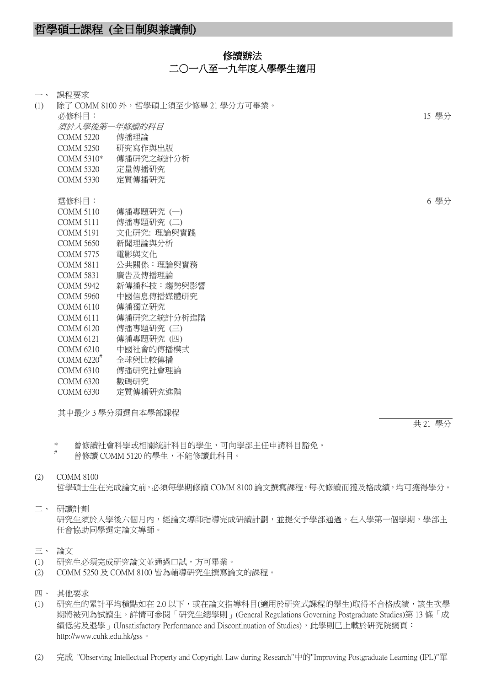## 修讀辦法 二○一八至一九年度入學學生適用

| $\overline{\phantom{a}}$ | 課程要求                     |                                     |       |
|--------------------------|--------------------------|-------------------------------------|-------|
| (1)                      |                          | 除了 COMM 8100 外,哲學碩士須至少修畢 21 學分方可畢業。 |       |
|                          | 必修科目:                    |                                     | 15 學分 |
|                          | 須於人學後第一年修讀的科目            |                                     |       |
|                          | <b>COMM 5220</b>         | 傳播理論                                |       |
|                          | <b>COMM 5250</b>         | 研究寫作與出版                             |       |
|                          | COMM 5310*               | 傳播研究之統計分析                           |       |
|                          | <b>COMM 5320</b>         | 定量傳播研究                              |       |
|                          | <b>COMM 5330</b>         | 定質傳播研究                              |       |
|                          |                          |                                     |       |
|                          | 選修科目:                    |                                     | 6 學分  |
|                          | <b>COMM 5110</b>         | 傳播專題研究 (一)                          |       |
|                          | <b>COMM 5111</b>         | 傳播專題研究 (二)                          |       |
|                          | <b>COMM 5191</b>         | 文化研究: 理論與實踐                         |       |
|                          | <b>COMM 5650</b>         | 新聞理論與分析                             |       |
|                          | <b>COMM 5775</b>         | 電影與文化                               |       |
|                          | <b>COMM 5811</b>         | 公共關係:理論與實務                          |       |
|                          | <b>COMM 5831</b>         | 廣告及傳播理論                             |       |
|                          | <b>COMM 5942</b>         | 新傳播科技:趨勢與影響                         |       |
|                          | <b>COMM 5960</b>         | 中國信息傳播媒體研究                          |       |
|                          | <b>COMM 6110</b>         | 傳播獨立研究                              |       |
|                          | <b>COMM 6111</b>         | 傳播研究之統計分析進階                         |       |
|                          | <b>COMM 6120</b>         | 傳播專題研究 (三)                          |       |
|                          | <b>COMM 6121</b>         | 傳播專題研究 (四)                          |       |
|                          | <b>COMM 6210</b>         | 中國社會的傳播模式                           |       |
|                          | COMM $6220^{\texttt{#}}$ | 全球與比較傳播                             |       |
|                          | <b>COMM 6310</b>         | 傳播研究社會理論                            |       |
|                          | <b>COMM 6320</b>         | 數碼研究                                |       |
|                          | <b>COMM 6330</b>         | 定質傳播研究進階                            |       |
|                          |                          |                                     |       |

其中最少 3 學分須選自本學部課程

共 21 學分

\* 曾修讀社會科學或相關統計科目的學生,可向學部主任申請科目豁免。

曾修讀 COMM 5120 的學生,不能修讀此科目。

## (2) COMM 8100

哲學碩士生在完成論文前,必須每學期修讀 COMM 8100 論文撰寫課程,每次修讀而獲及格成績,均可獲得學分。

# 二、 研讀計劃

研究生須於入學後六個月內,經論文導師指導完成研讀計劃,並提交予學部通過。在入學第一個學期,學部主 任會協助同學選定論文導師。

## 三、 論文

- (1) 研究生必須完成研究論文並通過口試,方可畢業。
- (2) COMM 5250 及 COMM 8100 皆為輔導研究生撰寫論文的課程。
- 四、 其他要求
- (1) 研究生的累計平均積點如在 2.0 以下,或在論文指導科目(適用於研究式課程的學生)取得不合格成績,該生次學 期將被列為試讀生。詳情可參閱「研究生總學則」(General Regulations Governing Postgraduate Studies)第 13 條「成 績低劣及退學」(Unsatisfactory Performance and Discontinuation of Studies),此學則已上載於研究院網頁: http://www.cuhk.edu.hk/gss。
- (2) 完成 "Observing Intellectual Property and Copyright Law during Research"中的"Improving Postgraduate Learning (IPL)"單